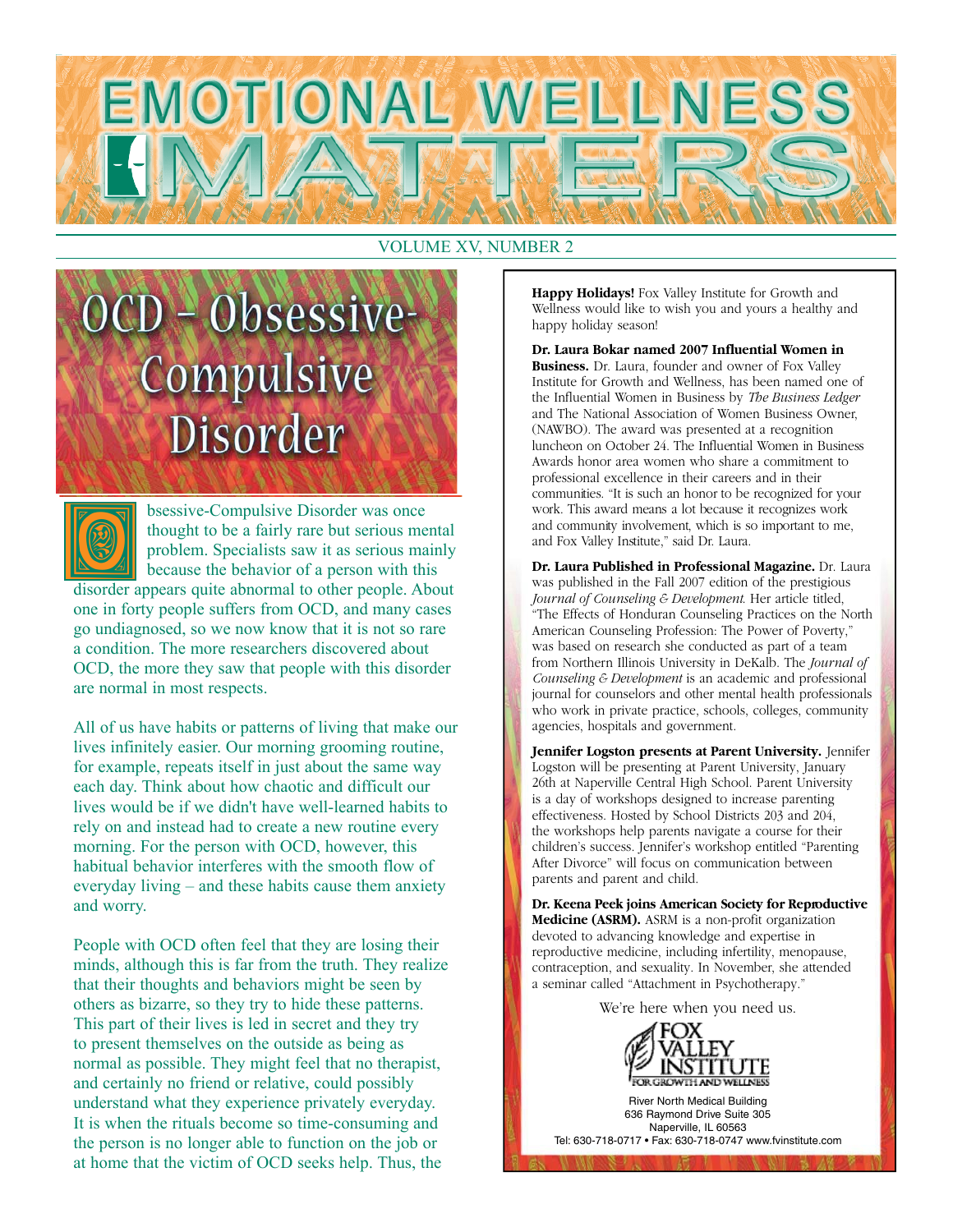

#### VOLUME XV, NUMBER 2

# CD - Obsessive-Compulsive Disorder



bsessive-Compulsive Disorder was once thought to be a fairly rare but serious mental problem. Specialists saw it as serious mainly because the behavior of a person with this

disorder appears quite abnormal to other people. About one in forty people suffers from OCD, and many cases go undiagnosed, so we now know that it is not so rare a condition. The more researchers discovered about OCD, the more they saw that people with this disorder are normal in most respects.

All of us have habits or patterns of living that make our lives infinitely easier. Our morning grooming routine, for example, repeats itself in just about the same way each day. Think about how chaotic and difficult our lives would be if we didn't have well-learned habits to rely on and instead had to create a new routine every morning. For the person with OCD, however, this habitual behavior interferes with the smooth flow of everyday living – and these habits cause them anxiety and worry.

People with OCD often feel that they are losing their minds, although this is far from the truth. They realize that their thoughts and behaviors might be seen by others as bizarre, so they try to hide these patterns. This part of their lives is led in secret and they try to present themselves on the outside as being as normal as possible. They might feel that no therapist, and certainly no friend or relative, could possibly understand what they experience privately everyday. It is when the rituals become so time-consuming and the person is no longer able to function on the job or at home that the victim of OCD seeks help. Thus, the

**Happy Holidays!** Fox Valley Institute for Growth and Wellness would like to wish you and yours a healthy and happy holiday season!

**Dr. Laura Bokar named 2007 Influential Women in Business.** Dr. Laura, founder and owner of Fox Valley Institute for Growth and Wellness, has been named one of the Influential Women in Business by *The Business Ledger* and The National Association of Women Business Owner, (NAWBO). The award was presented at a recognition luncheon on October 24. The Influential Women in Business Awards honor area women who share a commitment to professional excellence in their careers and in their communities. "It is such an honor to be recognized for your work. This award means a lot because it recognizes work and community involvement, which is so important to me, and Fox Valley Institute," said Dr. Laura.

**Dr. Laura Published in Professional Magazine.** Dr. Laura was published in the Fall 2007 edition of the prestigious *Journal of Counseling & Development*. Her article titled, "The Effects of Honduran Counseling Practices on the North American Counseling Profession: The Power of Poverty," was based on research she conducted as part of a team from Northern Illinois University in DeKalb. The *Journal of Counseling & Development* is an academic and professional journal for counselors and other mental health professionals who work in private practice, schools, colleges, community agencies, hospitals and government.

**Jennifer Logston presents at Parent University.** Jennifer Logston will be presenting at Parent University, January 26th at Naperville Central High School. Parent University is a day of workshops designed to increase parenting effectiveness. Hosted by School Districts 203 and 204, the workshops help parents navigate a course for their children's success. Jennifer's workshop entitled "Parenting After Divorce" will focus on communication between parents and parent and child.

**Dr. Keena Peek joins American Society for Reproductive Medicine (ASRM).** ASRM is a non-profit organization devoted to advancing knowledge and expertise in reproductive medicine, including infertility, menopause, contraception, and sexuality. In November, she attended a seminar called "Attachment in Psychotherapy."

We're here when you need us.



River North Medical Building 636 Raymond Drive Suite 305 Naperville, IL 60563 Tel: 630-718-0717 • Fax: 630-718-0747 www.fvinstitute.com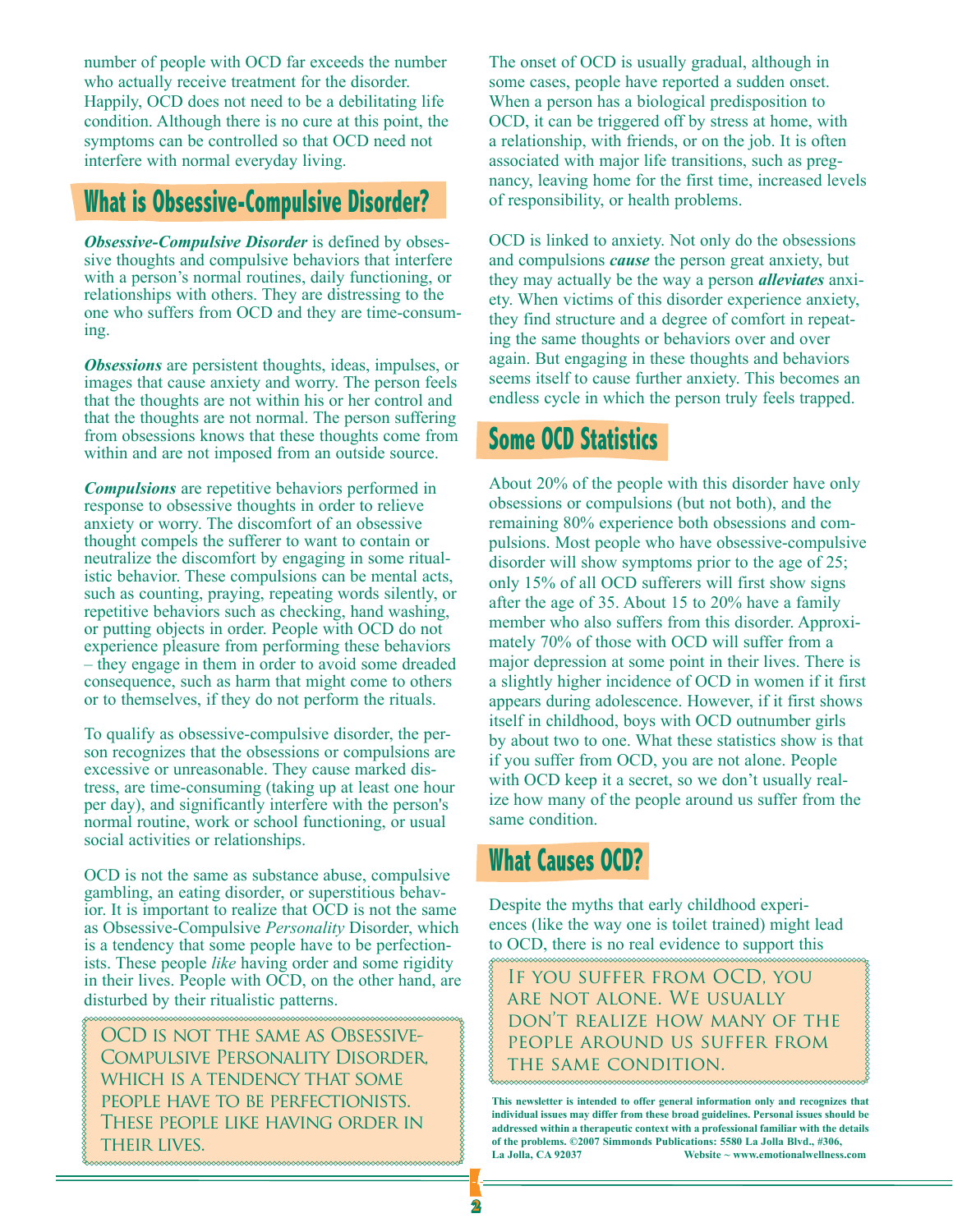number of people with OCD far exceeds the number who actually receive treatment for the disorder. Happily, OCD does not need to be a debilitating life condition. Although there is no cure at this point, the symptoms can be controlled so that OCD need not interfere with normal everyday living.

## **What is Obsessive-Compulsive Disorder?**

*Obsessive-Compulsive Disorder* is defined by obsessive thoughts and compulsive behaviors that interfere with a person's normal routines, daily functioning, or relationships with others. They are distressing to the one who suffers from OCD and they are time-consuming.

*Obsessions* are persistent thoughts, ideas, impulses, or images that cause anxiety and worry. The person feels that the thoughts are not within his or her control and that the thoughts are not normal. The person suffering from obsessions knows that these thoughts come from within and are not imposed from an outside source.

*Compulsions* are repetitive behaviors performed in response to obsessive thoughts in order to relieve anxiety or worry. The discomfort of an obsessive thought compels the sufferer to want to contain or neutralize the discomfort by engaging in some ritualistic behavior. These compulsions can be mental acts, such as counting, praying, repeating words silently, or repetitive behaviors such as checking, hand washing, or putting objects in order. People with OCD do not experience pleasure from performing these behaviors – they engage in them in order to avoid some dreaded consequence, such as harm that might come to others or to themselves, if they do not perform the rituals.

To qualify as obsessive-compulsive disorder, the person recognizes that the obsessions or compulsions are excessive or unreasonable. They cause marked distress, are time-consuming (taking up at least one hour per day), and significantly interfere with the person's normal routine, work or school functioning, or usual social activities or relationships.

OCD is not the same as substance abuse, compulsive gambling, an eating disorder, or superstitious behavior. It is important to realize that OCD is not the same as Obsessive-Compulsive *Personality* Disorder, which is a tendency that some people have to be perfectionists. These people *like* having order and some rigidity in their lives. People with OCD, on the other hand, are disturbed by their ritualistic patterns.

OCD is not the same as Obsessive-Compulsive Personality Disorder, which is a tendency that some people have to be perfectionists. These people like having order in their lives.

The onset of OCD is usually gradual, although in some cases, people have reported a sudden onset. When a person has a biological predisposition to OCD, it can be triggered off by stress at home, with a relationship, with friends, or on the job. It is often associated with major life transitions, such as pregnancy, leaving home for the first time, increased levels of responsibility, or health problems.

OCD is linked to anxiety. Not only do the obsessions and compulsions *cause* the person great anxiety, but they may actually be the way a person *alleviates* anxiety. When victims of this disorder experience anxiety, they find structure and a degree of comfort in repeating the same thoughts or behaviors over and over again. But engaging in these thoughts and behaviors seems itself to cause further anxiety. This becomes an endless cycle in which the person truly feels trapped.

## **Some OCD Statistics**

About 20% of the people with this disorder have only obsessions or compulsions (but not both), and the remaining 80% experience both obsessions and compulsions. Most people who have obsessive-compulsive disorder will show symptoms prior to the age of 25; only 15% of all OCD sufferers will first show signs after the age of 35. About 15 to 20% have a family member who also suffers from this disorder. Approximately 70% of those with OCD will suffer from a major depression at some point in their lives. There is a slightly higher incidence of OCD in women if it first appears during adolescence. However, if it first shows itself in childhood, boys with OCD outnumber girls by about two to one. What these statistics show is that if you suffer from OCD, you are not alone. People with OCD keep it a secret, so we don't usually realize how many of the people around us suffer from the same condition.

## **What Causes OCD?**

Despite the myths that early childhood experiences (like the way one is toilet trained) might lead to OCD, there is no real evidence to support this

If you suffer from OCD, you are not alone. We usually don't realize how many of the people around us suffer from the same condition.

**This newsletter is intended to offer general information only and recognizes that individual issues may differ from these broad guidelines. Personal issues should be addressed within a therapeutic context with a professional familiar with the details of the problems. ©2007 Simmonds Publications: 5580 La Jolla Blvd., #306,**  Website ~ www.emotionalwellness.com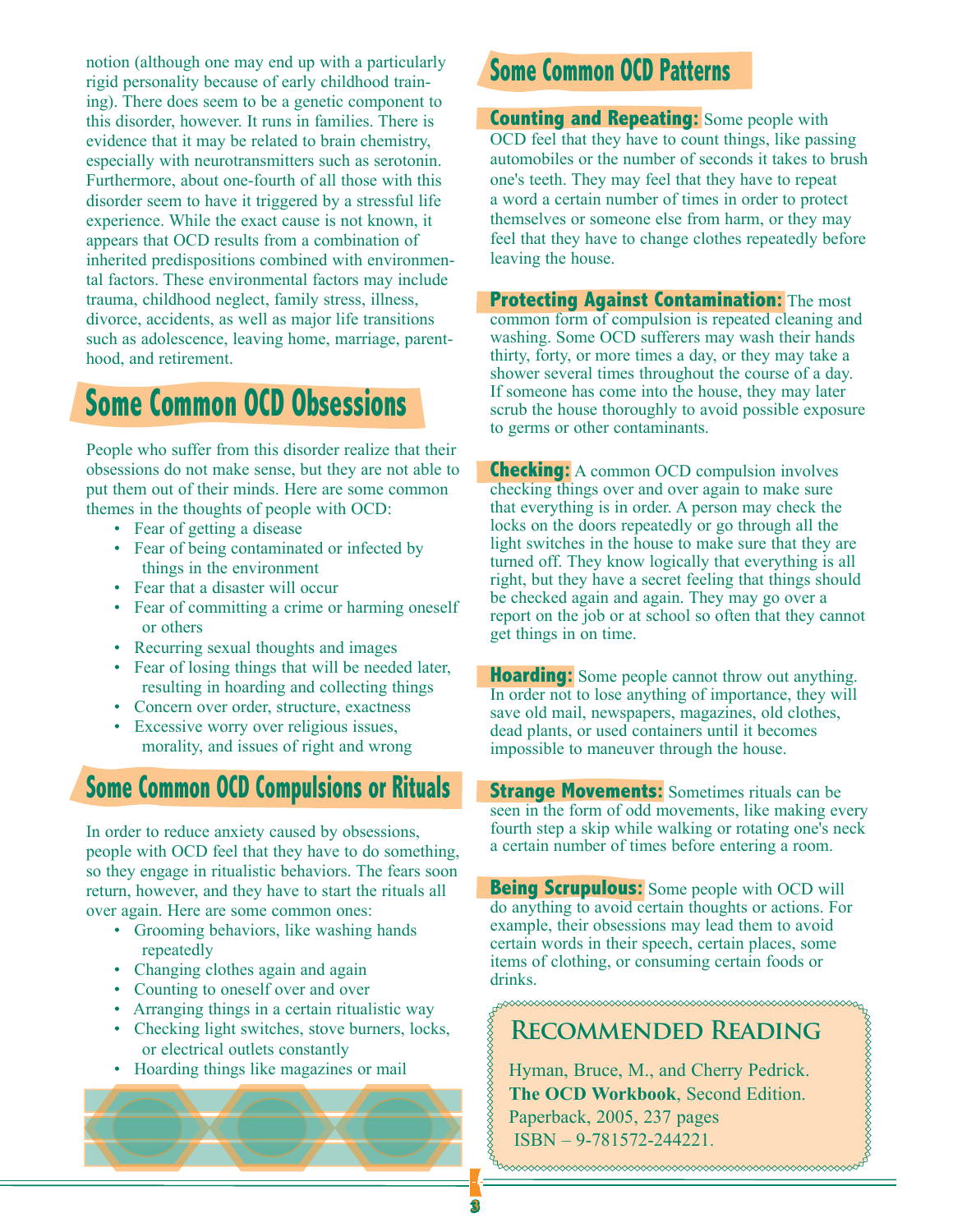notion (although one may end up with a particularly rigid personality because of early childhood training). There does seem to be a genetic component to this disorder, however. It runs in families. There is evidence that it may be related to brain chemistry, especially with neurotransmitters such as serotonin. Furthermore, about one-fourth of all those with this disorder seem to have it triggered by a stressful life experience. While the exact cause is not known, it appears that OCD results from a combination of inherited predispositions combined with environmental factors. These environmental factors may include trauma, childhood neglect, family stress, illness, divorce, accidents, as well as major life transitions such as adolescence, leaving home, marriage, parenthood, and retirement.

## **Some Common OCD Obsessions**

People who suffer from this disorder realize that their obsessions do not make sense, but they are not able to put them out of their minds. Here are some common themes in the thoughts of people with OCD:

- Fear of getting a disease
- Fear of being contaminated or infected by things in the environment
- Fear that a disaster will occur
- Fear of committing a crime or harming oneself or others
- Recurring sexual thoughts and images
- Fear of losing things that will be needed later, resulting in hoarding and collecting things
- Concern over order, structure, exactness
- Excessive worry over religious issues, morality, and issues of right and wrong

### **Some Common OCD Compulsions or Rituals**

In order to reduce anxiety caused by obsessions, people with OCD feel that they have to do something, so they engage in ritualistic behaviors. The fears soon return, however, and they have to start the rituals all over again. Here are some common ones:

- Grooming behaviors, like washing hands repeatedly
- Changing clothes again and again
- Counting to oneself over and over
- Arranging things in a certain ritualistic way
- Checking light switches, stove burners, locks, or electrical outlets constantly
- Hoarding things like magazines or mail

## **Some Common OCD Patterns**

**Counting and Repeating:** Some people with OCD feel that they have to count things, like passing automobiles or the number of seconds it takes to brush one's teeth. They may feel that they have to repeat a word a certain number of times in order to protect themselves or someone else from harm, or they may feel that they have to change clothes repeatedly before leaving the house.

**Protecting Against Contamination:** The most common form of compulsion is repeated cleaning and washing. Some OCD sufferers may wash their hands thirty, forty, or more times a day, or they may take a shower several times throughout the course of a day. If someone has come into the house, they may later scrub the house thoroughly to avoid possible exposure to germs or other contaminants.

**Checking:** A common OCD compulsion involves checking things over and over again to make sure that everything is in order. A person may check the locks on the doors repeatedly or go through all the light switches in the house to make sure that they are turned off. They know logically that everything is all right, but they have a secret feeling that things should be checked again and again. They may go over a report on the job or at school so often that they cannot get things in on time.

**Hoarding:** Some people cannot throw out anything. In order not to lose anything of importance, they will save old mail, newspapers, magazines, old clothes, dead plants, or used containers until it becomes impossible to maneuver through the house.

**Strange Movements:** Sometimes rituals can be seen in the form of odd movements, like making every fourth step a skip while walking or rotating one's neck a certain number of times before entering a room.

**Being Scrupulous:** Some people with OCD will do anything to avoid certain thoughts or actions. For example, their obsessions may lead them to avoid certain words in their speech, certain places, some items of clothing, or consuming certain foods or drinks.

## **Recommended Reading**

Hyman, Bruce, M., and Cherry Pedrick. **The OCD Workbook**, Second Edition. Paperback, 2005, 237 pages ISBN – 9-781572-244221.